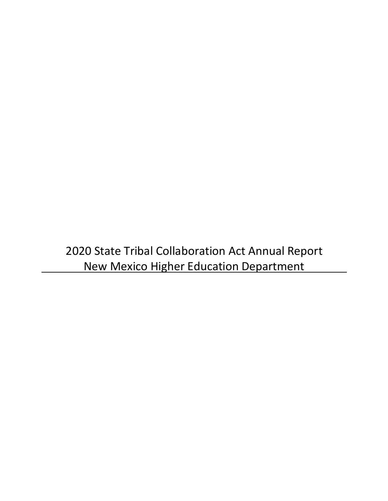2020 State Tribal Collaboration Act Annual Report New Mexico Higher Education Department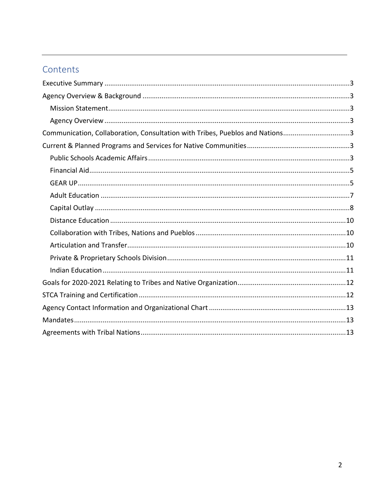# Contents

| Communication, Collaboration, Consultation with Tribes, Pueblos and Nations3 |  |
|------------------------------------------------------------------------------|--|
|                                                                              |  |
|                                                                              |  |
|                                                                              |  |
|                                                                              |  |
|                                                                              |  |
|                                                                              |  |
|                                                                              |  |
|                                                                              |  |
|                                                                              |  |
|                                                                              |  |
|                                                                              |  |
|                                                                              |  |
|                                                                              |  |
|                                                                              |  |
|                                                                              |  |
|                                                                              |  |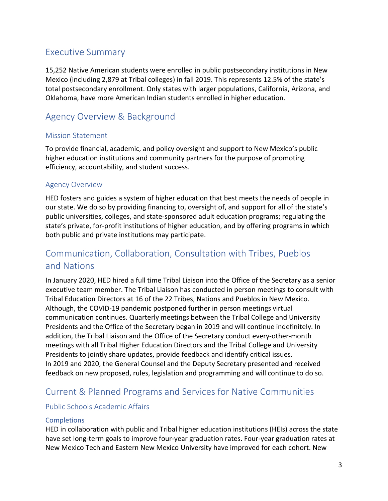## <span id="page-2-0"></span>Executive Summary

15,252 Native American students were enrolled in public postsecondary institutions in New Mexico (including 2,879 at Tribal colleges) in fall 2019. This represents 12.5% of the state's total postsecondary enrollment. Only states with larger populations, California, Arizona, and Oklahoma, have more American Indian students enrolled in higher education.

# <span id="page-2-1"></span>Agency Overview & Background

#### <span id="page-2-2"></span>Mission Statement

To provide financial, academic, and policy oversight and support to New Mexico's public higher education institutions and community partners for the purpose of promoting efficiency, accountability, and student success.

#### <span id="page-2-3"></span>Agency Overview

HED fosters and guides a system of higher education that best meets the needs of people in our state. We do so by providing financing to, oversight of, and support for all of the state's public universities, colleges, and state-sponsored adult education programs; regulating the state's private, for-profit institutions of higher education, and by offering programs in which both public and private institutions may participate.

# <span id="page-2-4"></span>Communication, Collaboration, Consultation with Tribes, Pueblos and Nations

In January 2020, HED hired a full time Tribal Liaison into the Office of the Secretary as a senior executive team member. The Tribal Liaison has conducted in person meetings to consult with Tribal Education Directors at 16 of the 22 Tribes, Nations and Pueblos in New Mexico. Although, the COVID-19 pandemic postponed further in person meetings virtual communication continues. Quarterly meetings between the Tribal College and University Presidents and the Office of the Secretary began in 2019 and will continue indefinitely. In addition, the Tribal Liaison and the Office of the Secretary conduct every-other-month meetings with all Tribal Higher Education Directors and the Tribal College and University Presidents to jointly share updates, provide feedback and identify critical issues. In 2019 and 2020, the General Counsel and the Deputy Secretary presented and received feedback on new proposed, rules, legislation and programming and will continue to do so.

# <span id="page-2-5"></span>Current & Planned Programs and Services for Native Communities

#### <span id="page-2-6"></span>Public Schools Academic Affairs

#### **Completions**

HED in collaboration with public and Tribal higher education institutions (HEIs) across the state have set long-term goals to improve four-year graduation rates. Four-year graduation rates at New Mexico Tech and Eastern New Mexico University have improved for each cohort. New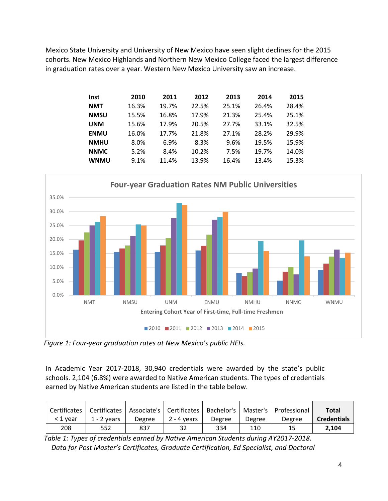Mexico State University and University of New Mexico have seen slight declines for the 2015 cohorts. New Mexico Highlands and Northern New Mexico College faced the largest difference in graduation rates over a year. Western New Mexico University saw an increase.

| <b>Inst</b> | 2010  | 2011  | 2012  | 2013  | 2014  | 2015  |
|-------------|-------|-------|-------|-------|-------|-------|
| <b>NMT</b>  | 16.3% | 19.7% | 22.5% | 25.1% | 26.4% | 28.4% |
| <b>NMSU</b> | 15.5% | 16.8% | 17.9% | 21.3% | 25.4% | 25.1% |
| <b>UNM</b>  | 15.6% | 17.9% | 20.5% | 27.7% | 33.1% | 32.5% |
| <b>ENMU</b> | 16.0% | 17.7% | 21.8% | 27.1% | 28.2% | 29.9% |
| <b>NMHU</b> | 8.0%  | 6.9%  | 8.3%  | 9.6%  | 19.5% | 15.9% |
| <b>NNMC</b> | 5.2%  | 8.4%  | 10.2% | 7.5%  | 19.7% | 14.0% |
| <b>WNMU</b> | 9.1%  | 11.4% | 13.9% | 16.4% | 13.4% | 15.3% |
|             |       |       |       |       |       |       |



*Figure 1: Four-year graduation rates at New Mexico's public HEIs.*

In Academic Year 2017-2018, 30,940 credentials were awarded by the state's public schools. 2,104 (6.8%) were awarded to Native American students. The types of credentials earned by Native American students are listed in the table below.

|          |               |        |             |        |        | Certificates   Certificates   Associate's   Certificates   Bachelor's   Master's   Professional | <b>Total</b>       |
|----------|---------------|--------|-------------|--------|--------|-------------------------------------------------------------------------------------------------|--------------------|
| < 1 vear | $1 - 2$ vears | Degree | 2 - 4 vears | Degree | Degree | Degree                                                                                          | <b>Credentials</b> |
| 208      | 552           | 837    | 32          | 334    | 110    | 15                                                                                              | 2.104              |

*Table 1: Types of credentials earned by Native American Students during AY2017-2018. Data for Post Master's Certificates, Graduate Certification, Ed Specialist, and Doctoral*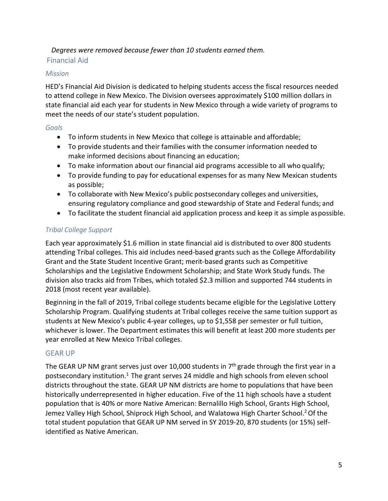#### <span id="page-4-0"></span>*Degrees were removed because fewer than 10 students earned them.* Financial Aid

#### *Mission*

HED's Financial Aid Division is dedicated to helping students access the fiscal resources needed to attend college in New Mexico. The Division oversees approximately \$100 million dollars in state financial aid each year for students in New Mexico through a wide variety of programs to meet the needs of our state's student population.

#### *Goals*

- To inform students in New Mexico that college is attainable and affordable;
- To provide students and their families with the consumer information needed to make informed decisions about financing an education;
- To make information about our financial aid programs accessible to all who qualify;
- To provide funding to pay for educational expenses for as many New Mexican students as possible;
- To collaborate with New Mexico's public postsecondary colleges and universities, ensuring regulatory compliance and good stewardship of State and Federal funds; and
- To facilitate the student financial aid application process and keep it as simple aspossible.

## *Tribal College Support*

Each year approximately \$1.6 million in state financial aid is distributed to over 800 students attending Tribal colleges. This aid includes need-based grants such as the College Affordability Grant and the State Student Incentive Grant; merit-based grants such as Competitive Scholarships and the Legislative Endowment Scholarship; and State Work Study funds. The division also tracks aid from Tribes, which totaled \$2.3 million and supported 744 students in 2018 (most recent year available).

Beginning in the fall of 2019, Tribal college students became eligible for the Legislative Lottery Scholarship Program. Qualifying students at Tribal colleges receive the same tuition support as students at New Mexico's public 4-year colleges, up to \$1,558 per semester or full tuition, whichever is lower. The Department estimates this will benefit at least 200 more students per year enrolled at New Mexico Tribal colleges.

#### <span id="page-4-1"></span>GEAR UP

The GEAR UP NM grant serves just over 10,000 students in  $7<sup>th</sup>$  grade through the first year in a postsecondary institution.<sup>1</sup> The grant serves 24 middle and high schools from eleven school districts throughout the state. GEAR UP NM districts are home to populations that have been historically underrepresented in higher education. Five of the 11 high schools have a student population that is 40% or more Native American: Bernalillo High School, Grants High School, Jemez Valley High School, Shiprock High School, and Walatowa High Charter School.<sup>2</sup> Of the total student population that GEAR UP NM served in SY 2019-20, 870 students (or 15%) selfidentified as Native American.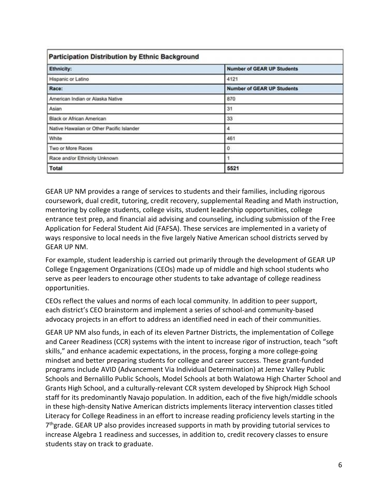| <b>Participation Distribution by Ethnic Background</b> |                                   |  |  |  |  |
|--------------------------------------------------------|-----------------------------------|--|--|--|--|
| <b>Ethnicity:</b>                                      | <b>Number of GEAR UP Students</b> |  |  |  |  |
| Hispanic or Latino                                     | 4121                              |  |  |  |  |
| Race:                                                  | <b>Number of GEAR UP Students</b> |  |  |  |  |
| American Indian or Alaska Native                       | 870                               |  |  |  |  |
| Asian                                                  | 31                                |  |  |  |  |
| Black or African American                              | 33                                |  |  |  |  |
| Native Hawaiian or Other Pacific Islander              | 4                                 |  |  |  |  |
| White                                                  | 461                               |  |  |  |  |
| Two or More Races                                      | $\circ$                           |  |  |  |  |
| Race and/or Ethnicity Unknown                          |                                   |  |  |  |  |
| <b>Total</b>                                           | 5521                              |  |  |  |  |

GEAR UP NM provides a range of services to students and their families, including rigorous coursework, dual credit, tutoring, credit recovery, supplemental Reading and Math instruction, mentoring by college students, college visits, student leadership opportunities, college entrance test prep, and financial aid advising and counseling, including submission of the Free Application for Federal Student Aid (FAFSA). These services are implemented in a variety of ways responsive to local needs in the five largely Native American school districts served by GEAR UP NM.

For example, student leadership is carried out primarily through the development of GEAR UP College Engagement Organizations (CEOs) made up of middle and high school students who serve as peer leaders to encourage other students to take advantage of college readiness opportunities.

CEOs reflect the values and norms of each local community. In addition to peer support, each district's CEO brainstorm and implement a series of school-and community-based advocacy projects in an effort to address an identified need in each of their communities.

GEAR UP NM also funds, in each of its eleven Partner Districts, the implementation of College and Career Readiness (CCR) systems with the intent to increase rigor of instruction, teach "soft skills," and enhance academic expectations, in the process, forging a more college-going mindset and better preparing students for college and career success. These grant-funded programs include AVID (Advancement Via Individual Determination) at Jemez Valley Public Schools and Bernalillo Public Schools, Model Schools at both Walatowa High Charter School and Grants High School, and a culturally-relevant CCR system developed by Shiprock High School staff for its predominantly Navajo population. In addition, each of the five high/middle schools in these high-density Native American districts implements literacy intervention classes titled Literacy for College Readiness in an effort to increase reading proficiency levels starting in the 7<sup>th</sup>grade. GEAR UP also provides increased supports in math by providing tutorial services to increase Algebra 1 readiness and successes, in addition to, credit recovery classes to ensure students stay on track to graduate.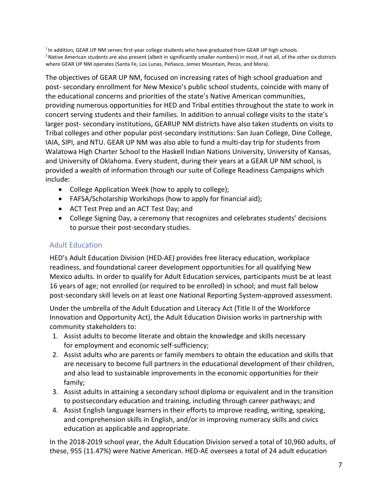<sup>1</sup> In addition, GEAR UP NM serves first-year college students who have graduated from GEAR UP high schools. <sup>2</sup> Native American students are also present (albeit in significantly smaller numbers) in most, if not all, of the other six districts where GEAR UP NM operates (Santa Fe, Los Lunas, Peñasco, Jemez Mountain, Pecos, and Mora).

The objectives of GEAR UP NM, focused on increasing rates of high school graduation and post- secondary enrollment for New Mexico's public school students, coincide with many of the educational concerns and priorities of the state's Native American communities, providing numerous opportunities for HED and Tribal entities throughout the state to work in concert serving students and their families. In addition to annual college visits to the state's larger post- secondary institutions, GEARUP NM districts have also taken students on visits to Tribal colleges and other popular post-secondary institutions: San Juan College, Dine College, IAIA, SIPI, and NTU. GEAR UP NM was also able to fund a multi-day trip for students from Walatowa High Charter School to the Haskell Indian Nations University, University of Kansas, and University of Oklahoma. Every student, during their years at a GEAR UP NM school, is provided a wealth of information through our suite of College Readiness Campaigns which include:

- College Application Week (how to apply to college);
- FAFSA/Scholarship Workshops (how to apply for financial aid);
- ACT Test Prep and an ACT Test Day; and
- College Signing Day, a ceremony that recognizes and celebrates students' decisions to pursue their post-secondary studies.

## <span id="page-6-0"></span>Adult Education

HED's Adult Education Division (HED-AE) provides free literacy education, workplace readiness, and foundational career development opportunities for all qualifying New Mexico adults. In order to qualify for Adult Education services, participants must be at least 16 years of age; not enrolled (or required to be enrolled) in school; and must fall below post-secondary skill levels on at least one National Reporting System-approved assessment.

Under the umbrella of the Adult Education and Literacy Act (Title II of the Workforce Innovation and Opportunity Act), the Adult Education Division works in partnership with community stakeholders to:

- 1. Assist adults to become literate and obtain the knowledge and skills necessary for employment and economic self-sufficiency;
- 2. Assist adults who are parents or family members to obtain the education and skills that are necessary to become full partners in the educational development of their children, and also lead to sustainable improvements in the economic opportunities for their family;
- 3. Assist adults in attaining a secondary school diploma or equivalent and in the transition to postsecondary education and training, including through career pathways; and
- 4. Assist English language learners in their efforts to improve reading, writing, speaking, and comprehension skills in English, and/or in improving numeracy skills and civics education as applicable and appropriate.

In the 2018-2019 school year, the Adult Education Division served a total of 10,960 adults, of these, 955 (11.47%) were Native American. HED-AE oversees a total of 24 adult education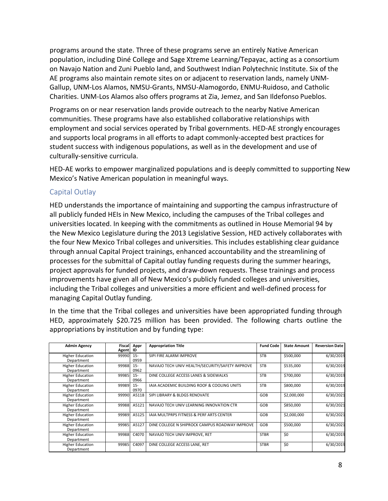programs around the state. Three of these programs serve an entirely Native American population, including Diné College and Sage Xtreme Learning/Tepayac, acting as a consortium on Navajo Nation and Zuni Pueblo land, and Southwest Indian Polytechnic Institute. Six of the AE programs also maintain remote sites on or adjacent to reservation lands, namely UNM-Gallup, UNM-Los Alamos, NMSU-Grants, NMSU-Alamogordo, ENMU-Ruidoso, and Catholic Charities. UNM-Los Alamos also offers programs at Zia, Jemez, and San Ildefonso Pueblos.

Programs on or near reservation lands provide outreach to the nearby Native American communities. These programs have also established collaborative relationships with employment and social services operated by Tribal governments. HED-AE strongly encourages and supports local programs in all efforts to adapt commonly-accepted best practices for student success with indigenous populations, as well as in the development and use of culturally-sensitive curricula.

HED-AE works to empower marginalized populations and is deeply committed to supporting New Mexico's Native American population in meaningful ways.

#### <span id="page-7-0"></span>Capital Outlay

HED understands the importance of maintaining and supporting the campus infrastructure of all publicly funded HEIs in New Mexico, including the campuses of the Tribal colleges and universities located. In keeping with the commitments as outlined in House Memorial 94 by the New Mexico Legislature during the 2013 Legislative Session, HED actively collaborates with the four New Mexico Tribal colleges and universities. This includes establishing clear guidance through annual Capital Project trainings, enhanced accountability and the streamlining of processes for the submittal of Capital outlay funding requests during the summer hearings, project approvals for funded projects, and draw-down requests. These trainings and process improvements have given all of New Mexico's publicly funded colleges and universities, including the Tribal colleges and universities a more efficient and well-defined process for managing Capital Outlay funding.

In the time that the Tribal colleges and universities have been appropriated funding through HED, approximately \$20.725 million has been provided. The following charts outline the appropriations by institution and by funding type:

| <b>Admin Agency</b>                   | Fiscal<br>Agent ID | Appr           | <b>Appropriation Title</b>                          | <b>Fund Code</b> | <b>State Amount</b> | <b>Reversion Date</b> |
|---------------------------------------|--------------------|----------------|-----------------------------------------------------|------------------|---------------------|-----------------------|
| <b>Higher Education</b><br>Department | 99990              | $15 -$<br>0959 | SIPI FIRE ALARM IMPROVE                             | <b>STB</b>       | \$500,000           | 6/30/2019             |
| <b>Higher Education</b><br>Department | 99988              | $15 -$<br>0962 | NAVAJO TECH UNIV HEALTH/SECURITY/SAFETY IMPROVE     | <b>STB</b>       | \$535,000           | 6/30/2019             |
| <b>Higher Education</b><br>Department | 99985              | $15 -$<br>0966 | DINE COLLEGE ACCESS LANES & SIDEWALKS               | <b>STB</b>       | \$700,000           | 6/30/2019             |
| <b>Higher Education</b><br>Department | 99989              | $15 -$<br>0970 | IAIA ACADEMIC BUILDING ROOF & COOLING UNITS         | <b>STB</b>       | \$800,000           | 6/30/2019             |
| <b>Higher Education</b><br>Department | 99990              | A5118          | SIPI LIBRARY & BLDGS RENOVATE                       | GOB              | \$2,000,000         | 6/30/2021             |
| <b>Higher Education</b><br>Department | 99988              | A5121          | NAVAJO TECH UNIV LEARNING INNOVATION CTR            | GOB              | \$850,000           | 6/30/2021             |
| <b>Higher Education</b><br>Department | 99989              | A5125          | <b>IAIA MULTPRPS FITNESS &amp; PERF ARTS CENTER</b> | GOB              | \$2,000,000         | 6/30/2021             |
| <b>Higher Education</b><br>Department | 99985              | A5127          | DINE COLLEGE N SHIPROCK CAMPUS ROADWAY IMPROVE      | GOB              | \$500,000           | 6/30/2021             |
| <b>Higher Education</b><br>Department | 99988              | C4070          | NAVAJO TECH UNIV IMPROVE, RET                       | <b>STBR</b>      | \$0                 | 6/30/2019             |
| <b>Higher Education</b><br>Department | 99985              | C4097          | DINE COLLEGE ACCESS LANE, RET                       | <b>STBR</b>      | \$0                 | 6/30/2019             |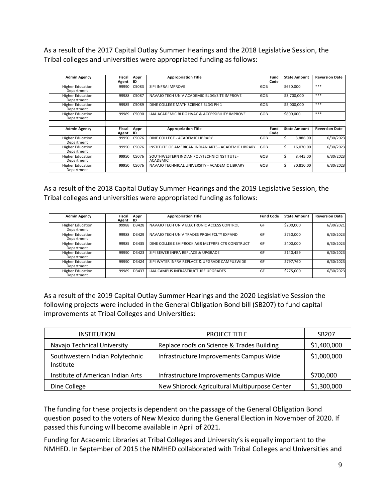As a result of the 2017 Capital Outlay Summer Hearings and the 2018 Legislative Session, the Tribal colleges and universities were appropriated funding asfollows:

| <b>Admin Agency</b>                   | Fiscal          | Appr       | <b>Appropriation Title</b>                                     | Fund         | <b>State Amount</b> | <b>Reversion Date</b> |
|---------------------------------------|-----------------|------------|----------------------------------------------------------------|--------------|---------------------|-----------------------|
|                                       | Agent           | ID         |                                                                | Code         |                     |                       |
| <b>Higher Education</b><br>Department | 99990           | C5083      | SIPI INFRA IMPROVE                                             | GOB          | \$650,000           | ***                   |
| <b>Higher Education</b><br>Department | 99988           | C5087      | NAVAJO TECH UNIV ACADEMIC BLDG/SITE IMPROVE                    | GOB          | \$3,700,000         | ***                   |
| <b>Higher Education</b><br>Department | 99985           | C5089      | DINE COLLEGE MATH SCIENCE BLDG PH 1                            | GOB          | \$5,000,000         | ***                   |
| <b>Higher Education</b><br>Department | 99989           | C5090      | IAIA ACADEMIC BLDG HVAC & ACCESSIBILITY IMPROVE                | GOB          | \$800,000           | ***                   |
|                                       |                 |            |                                                                |              |                     |                       |
| <b>Admin Agency</b>                   | Fiscal<br>Agent | Appr<br>ID | <b>Appropriation Title</b>                                     | Fund<br>Code | <b>State Amount</b> | <b>Reversion Date</b> |
| <b>Higher Education</b><br>Department | 99950           | C5076      | DINE COLLEGE - ACADEMIC LIBRARY                                | GOB          | Ś<br>3.886.00       | 6/30/2023             |
| <b>Higher Education</b><br>Department | 99950           | C5076      | INSTITUTE OF AMERICAN INDIAN ARTS - ACADEMIC LIBRARY           | GOB          | Ŝ.<br>16,070.00     | 6/30/2023             |
| <b>Higher Education</b><br>Department | 99950           | C5076      | SOUTHWESTERN INDIAN POLYTECHNIC INSTITUTE -<br><b>ACADEMIC</b> | GOB          | Ś<br>8.445.00       | 6/30/2023             |
| <b>Higher Education</b><br>Department | 99950           | C5076      | NAVAJO TECHNICAL UNIVERSITY - ACADEMIC LIBRARY                 | GOB          | Ŝ<br>30,810.00      | 6/30/2023             |

As a result of the 2018 Capital Outlay Summer Hearings and the 2019 Legislative Session, the Tribal colleges and universities were appropriated funding asfollows:

| <b>Admin Agency</b>                   | Fiscal<br>Agent | Appr<br>ID | <b>Appropriation Title</b>                      | <b>Fund Code</b> | <b>State Amount</b> | <b>Reversion Date</b> |
|---------------------------------------|-----------------|------------|-------------------------------------------------|------------------|---------------------|-----------------------|
| <b>Higher Education</b><br>Department | 99988           | D3428      | NAVAJO TECH UNIV ELECTRONIC ACCESS CONTROL      | GF               | \$200,000           | 6/30/2021             |
| <b>Higher Education</b><br>Department | 99988           | D3429      | NAVAJO TECH UNIV TRADES PRGM FCLTY EXPAND       | GF               | \$750,000           | 6/30/2023             |
| <b>Higher Education</b><br>Department | 99985           | D3435      | DINE COLLEGE SHIPROCK AGR MLTPRPS CTR CONSTRUCT | GF               | \$400,000           | 6/30/2023             |
| <b>Higher Education</b><br>Department | 99990           | D3423      | SIPI SEWER INFRA REPLACE & UPGRADE              | GF               | \$140.459           | 6/30/2023             |
| <b>Higher Education</b><br>Department | 99990           | D3424      | SIPI WATER INFRA REPLACE & UPGRADE CAMPUSWIDE   | GF               | \$797.760           | 6/30/2023             |
| <b>Higher Education</b><br>Department | 99989           | D3437      | IAIA CAMPUS INFRASTRUCTURE UPGRADES             | GF               | \$275,000           | 6/30/2023             |

As a result of the 2019 Capital Outlay Summer Hearings and the 2020 Legislative Session the following projects were included in the General Obligation Bond bill (SB207) to fund capital improvements at Tribal Colleges and Universities:

| <b>INSTITUTION</b>                                  | <b>PROJECT TITLE</b>                          | SB <sub>207</sub> |
|-----------------------------------------------------|-----------------------------------------------|-------------------|
| Navajo Technical University                         | Replace roofs on Science & Trades Building    | \$1,400,000       |
| Southwestern Indian Polytechnic<br><b>Institute</b> | Infrastructure Improvements Campus Wide       | \$1,000,000       |
| Institute of American Indian Arts                   | Infrastructure Improvements Campus Wide       | \$700,000         |
| Dine College                                        | New Shiprock Agricultural Multipurpose Center | \$1,300,000       |

The funding for these projects is dependent on the passage of the General Obligation Bond question posed to the voters of New Mexico during the General Election in November of 2020. If passed this funding will become available in April of 2021.

Funding for Academic Libraries at Tribal Colleges and University's is equally important to the NMHED. In September of 2015 the NMHED collaborated with Tribal Colleges and Universities and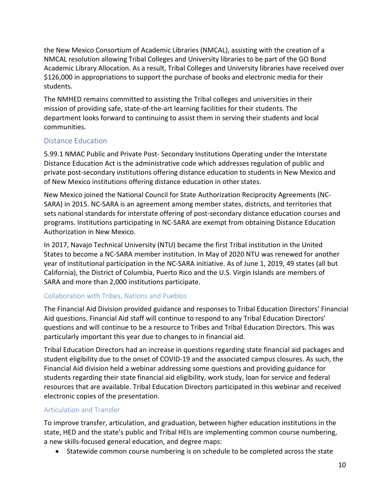the New Mexico Consortium of Academic Libraries (NMCAL), assisting with the creation of a NMCAL resolution allowing Tribal Colleges and University libraries to be part of the GO Bond Academic Library Allocation. As a result, Tribal Colleges and University libraries have received over \$126,000 in appropriations to support the purchase of books and electronic media for their students.

The NMHED remains committed to assisting the Tribal colleges and universities in their mission of providing safe, state-of-the-art learning facilities for their students. The department looks forward to continuing to assist them in serving their students and local communities.

## <span id="page-9-0"></span>Distance Education

5.99.1 NMAC Public and Private Post- Secondary Institutions Operating under the Interstate Distance Education Act is the administrative code which addresses regulation of public and private post-secondary institutions offering distance education to students in New Mexico and of New Mexico institutions offering distance education in other states.

New Mexico joined the National Council for State Authorization Reciprocity Agreements (NC-SARA) in 2015. NC-SARA is an agreement among member states, districts, and territories that sets national standards for interstate offering of post-secondary distance education courses and programs. Institutions participating in NC-SARA are exempt from obtaining Distance Education Authorization in New Mexico.

In 2017, Navajo Technical University (NTU) became the first Tribal institution in the United States to become a NC-SARA member institution. In May of 2020 NTU was renewed for another year of institutional participation in the NC-SARA initiative. As of June 1, 2019, 49 states (all but California), the District of Columbia, Puerto Rico and the U.S. Virgin Islands are members of SARA and more than 2,000 institutions participate.

## <span id="page-9-1"></span>Collaboration with Tribes, Nations and Pueblos

The Financial Aid Division provided guidance and responses to Tribal Education Directors' Financial Aid questions. Financial Aid staff will continue to respond to any Tribal Education Directors' questions and will continue to be a resource to Tribes and Tribal Education Directors. This was particularly important this year due to changes to in financial aid.

Tribal Education Directors had an increase in questions regarding state financial aid packages and student eligibility due to the onset of COVID-19 and the associated campus closures. As such, the Financial Aid division held a webinar addressing some questions and providing guidance for students regarding their state financial aid eligibility, work study, loan for service and federal resources that are available. Tribal Education Directors participated in this webinar and received electronic copies of the presentation.

## <span id="page-9-2"></span>Articulation and Transfer

To improve transfer, articulation, and graduation, between higher education institutions in the state, HED and the state's public and Tribal HEIs are implementing common course numbering, a new skills-focused general education, and degree maps:

• Statewide common course numbering is on schedule to be completed across the state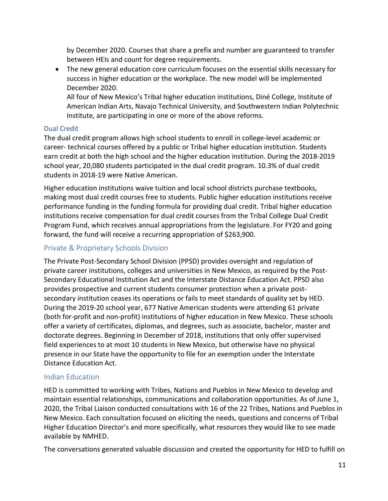by December 2020. Courses that share a prefix and number are guaranteed to transfer between HEIs and count for degree requirements.

• The new general education core curriculum focuses on the essential skills necessary for success in higher education or the workplace. The new model will be implemented December 2020.

All four of New Mexico's Tribal higher education institutions, Diné College, Institute of American Indian Arts, Navajo Technical University, and Southwestern Indian Polytechnic Institute, are participating in one or more of the above reforms.

#### Dual Credit

The dual credit program allows high school students to enroll in college-level academic or career- technical courses offered by a public or Tribal higher education institution. Students earn credit at both the high school and the higher education institution. During the 2018-2019 school year, 20,080 students participated in the dual credit program. 10.3% of dual credit students in 2018-19 were Native American.

Higher education institutions waive tuition and local school districts purchase textbooks, making most dual credit courses free to students. Public higher education institutions receive performance funding in the funding formula for providing dual credit. Tribal higher education institutions receive compensation for dual credit courses from the Tribal College Dual Credit Program Fund, which receives annual appropriations from the legislature. For FY20 and going forward, the fund will receive a recurring appropriation of \$263,900.

## <span id="page-10-0"></span>Private & Proprietary Schools Division

The Private Post-Secondary School Division (PPSD) provides oversight and regulation of private career institutions, colleges and universities in New Mexico, as required by the Post-Secondary Educational Institution Act and the Interstate Distance Education Act. PPSD also provides prospective and current students consumer protection when a private postsecondary institution ceases its operations or fails to meet standards of quality set by HED. During the 2019-20 school year, 677 Native American students were attending 61 private (both for-profit and non-profit) institutions of higher education in New Mexico. These schools offer a variety of certificates, diplomas, and degrees, such as associate, bachelor, master and doctorate degrees. Beginning in December of 2018, institutions that only offer supervised field experiences to at most 10 students in New Mexico, but otherwise have no physical presence in our State have the opportunity to file for an exemption under the Interstate Distance Education Act.

## <span id="page-10-1"></span>Indian Education

HED is committed to working with Tribes, Nations and Pueblos in New Mexico to develop and maintain essential relationships, communications and collaboration opportunities. As of June 1, 2020, the Tribal Liaison conducted consultations with 16 of the 22 Tribes, Nations and Pueblos in New Mexico. Each consultation focused on eliciting the needs, questions and concerns of Tribal Higher Education Director's and more specifically, what resources they would like to see made available by NMHED.

The conversations generated valuable discussion and created the opportunity for HED to fulfill on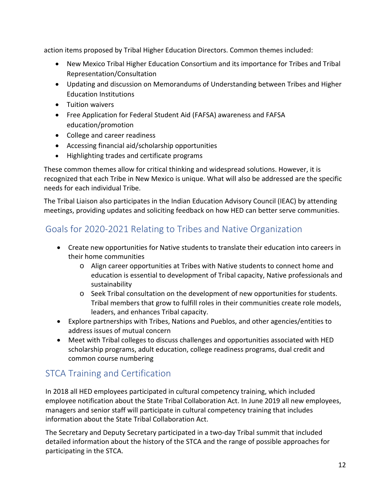action items proposed by Tribal Higher Education Directors. Common themes included:

- New Mexico Tribal Higher Education Consortium and its importance for Tribes and Tribal Representation/Consultation
- Updating and discussion on Memorandums of Understanding between Tribes and Higher Education Institutions
- Tuition waivers
- Free Application for Federal Student Aid (FAFSA) awareness and FAFSA education/promotion
- College and career readiness
- Accessing financial aid/scholarship opportunities
- Highlighting trades and certificate programs

These common themes allow for critical thinking and widespread solutions. However, it is recognized that each Tribe in New Mexico is unique. What will also be addressed are the specific needs for each individual Tribe.

The Tribal Liaison also participates in the Indian Education Advisory Council (IEAC) by attending meetings, providing updates and soliciting feedback on how HED can better serve communities.

# <span id="page-11-0"></span>Goals for 2020-2021 Relating to Tribes and Native Organization

- Create new opportunities for Native students to translate their education into careers in their home communities
	- o Align career opportunities at Tribes with Native students to connect home and education is essential to development of Tribal capacity, Native professionals and sustainability
	- o Seek Tribal consultation on the development of new opportunities for students. Tribal members that grow to fulfill roles in their communities create role models, leaders, and enhances Tribal capacity.
- Explore partnerships with Tribes, Nations and Pueblos, and other agencies/entities to address issues of mutual concern
- Meet with Tribal colleges to discuss challenges and opportunities associated with HED scholarship programs, adult education, college readiness programs, dual credit and common course numbering

# <span id="page-11-1"></span>STCA Training and Certification

In 2018 all HED employees participated in cultural competency training, which included employee notification about the State Tribal Collaboration Act. In June 2019 all new employees, managers and senior staff will participate in cultural competency training that includes information about the State Tribal Collaboration Act.

The Secretary and Deputy Secretary participated in a two-day Tribal summit that included detailed information about the history of the STCA and the range of possible approaches for participating in the STCA.